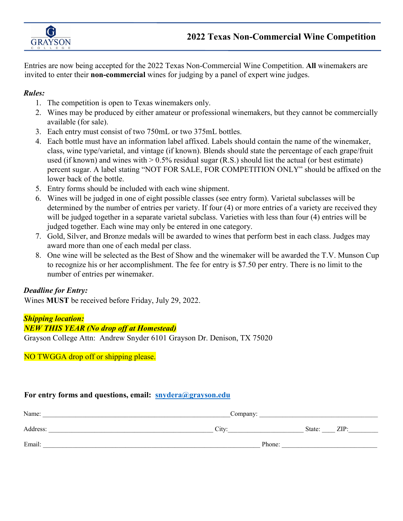

Entries are now being accepted for the 2022 Texas Non-Commercial Wine Competition. **All** winemakers are invited to enter their **non-commercial** wines for judging by a panel of expert wine judges.

## *Rules:*

- 1. The competition is open to Texas winemakers only.
- 2. Wines may be produced by either amateur or professional winemakers, but they cannot be commercially available (for sale).
- 3. Each entry must consist of two 750mL or two 375mL bottles.
- 4. Each bottle must have an information label affixed. Labels should contain the name of the winemaker, class, wine type/varietal, and vintage (if known). Blends should state the percentage of each grape/fruit used (if known) and wines with  $> 0.5\%$  residual sugar (R.S.) should list the actual (or best estimate) percent sugar. A label stating "NOT FOR SALE, FOR COMPETITION ONLY" should be affixed on the lower back of the bottle.
- 5. Entry forms should be included with each wine shipment.
- 6. Wines will be judged in one of eight possible classes (see entry form). Varietal subclasses will be determined by the number of entries per variety. If four (4) or more entries of a variety are received they will be judged together in a separate varietal subclass. Varieties with less than four (4) entries will be judged together. Each wine may only be entered in one category.
- 7. Gold, Silver, and Bronze medals will be awarded to wines that perform best in each class. Judges may award more than one of each medal per class.
- 8. One wine will be selected as the Best of Show and the winemaker will be awarded the T.V. Munson Cup to recognize his or her accomplishment. The fee for entry is \$7.50 per entry. There is no limit to the number of entries per winemaker.

# *Deadline for Entry:*

Wines **MUST** be received before Friday, July 29, 2022.

# *Shipping location:*

## *NEW THIS YEAR (No drop off at Homestead)*

Grayson College Attn: Andrew Snyder 6101 Grayson Dr. Denison, TX 75020

## NO TWGGA drop off or shipping please.

## **For entry forms and questions, email: [snydera@grayson.edu](mailto:snydera@grayson.edu)**

| Name:    | Company: |        |      |
|----------|----------|--------|------|
| Address: | $Citv^*$ | State: | ZIP: |
| Email:   | Phone:   |        |      |